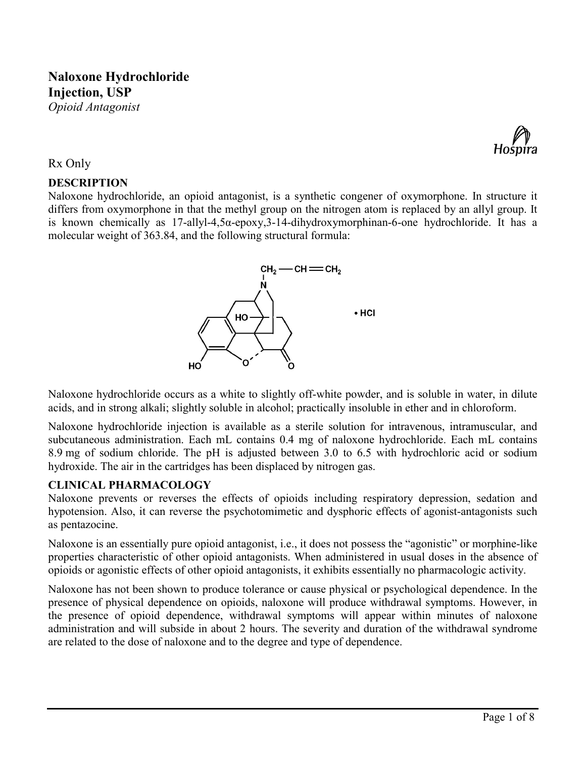# **Naloxone Hydrochloride Injection, USP**





## Rx Only

# **DESCRIPTION**

Naloxone hydrochloride, an opioid antagonist, is a synthetic congener of oxymorphone. In structure it differs from oxymorphone in that the methyl group on the nitrogen atom is replaced by an allyl group. It is known chemically as 17-allyl-4,5α-epoxy,3-14-dihydroxymorphinan-6-one hydrochloride. It has a molecular weight of 363.84, and the following structural formula:



Naloxone hydrochloride occurs as a white to slightly off-white powder, and is soluble in water, in dilute acids, and in strong alkali; slightly soluble in alcohol; practically insoluble in ether and in chloroform.

Naloxone hydrochloride injection is available as a sterile solution for intravenous, intramuscular, and subcutaneous administration. Each mL contains 0.4 mg of naloxone hydrochloride. Each mL contains 8.9 mg of sodium chloride. The pH is adjusted between 3.0 to 6.5 with hydrochloric acid or sodium hydroxide. The air in the cartridges has been displaced by nitrogen gas.

# **CLINICAL PHARMACOLOGY**

Naloxone prevents or reverses the effects of opioids including respiratory depression, sedation and hypotension. Also, it can reverse the psychotomimetic and dysphoric effects of agonist-antagonists such as pentazocine.

Naloxone is an essentially pure opioid antagonist, i.e., it does not possess the "agonistic" or morphine-like properties characteristic of other opioid antagonists. When administered in usual doses in the absence of opioids or agonistic effects of other opioid antagonists, it exhibits essentially no pharmacologic activity.

Naloxone has not been shown to produce tolerance or cause physical or psychological dependence. In the presence of physical dependence on opioids, naloxone will produce withdrawal symptoms. However, in the presence of opioid dependence, withdrawal symptoms will appear within minutes of naloxone administration and will subside in about 2 hours. The severity and duration of the withdrawal syndrome are related to the dose of naloxone and to the degree and type of dependence.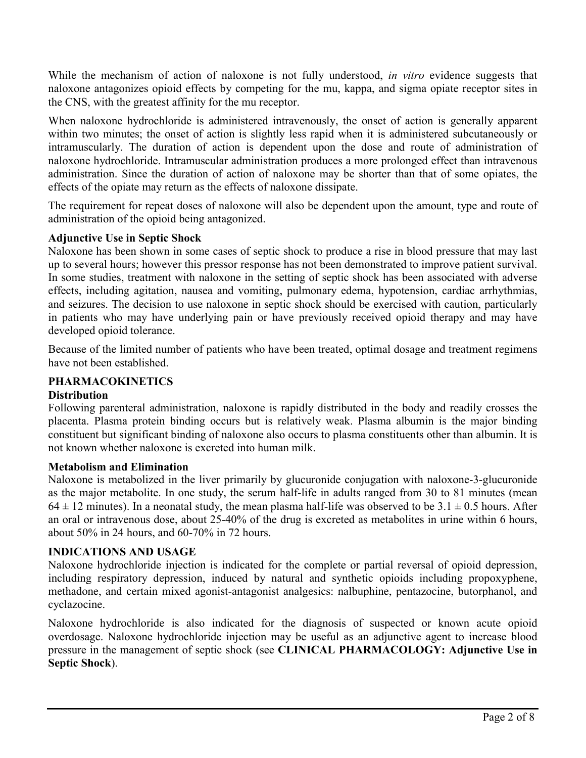While the mechanism of action of naloxone is not fully understood, *in vitro* evidence suggests that naloxone antagonizes opioid effects by competing for the mu, kappa, and sigma opiate receptor sites in the CNS, with the greatest affinity for the mu receptor.

When naloxone hydrochloride is administered intravenously, the onset of action is generally apparent within two minutes; the onset of action is slightly less rapid when it is administered subcutaneously or intramuscularly. The duration of action is dependent upon the dose and route of administration of naloxone hydrochloride. Intramuscular administration produces a more prolonged effect than intravenous administration. Since the duration of action of naloxone may be shorter than that of some opiates, the effects of the opiate may return as the effects of naloxone dissipate.

The requirement for repeat doses of naloxone will also be dependent upon the amount, type and route of administration of the opioid being antagonized.

# **Adjunctive Use in Septic Shock**

Naloxone has been shown in some cases of septic shock to produce a rise in blood pressure that may last up to several hours; however this pressor response has not been demonstrated to improve patient survival. In some studies, treatment with naloxone in the setting of septic shock has been associated with adverse effects, including agitation, nausea and vomiting, pulmonary edema, hypotension, cardiac arrhythmias, and seizures. The decision to use naloxone in septic shock should be exercised with caution, particularly in patients who may have underlying pain or have previously received opioid therapy and may have developed opioid tolerance.

Because of the limited number of patients who have been treated, optimal dosage and treatment regimens have not been established.

# **PHARMACOKINETICS**

# **Distribution**

Following parenteral administration, naloxone is rapidly distributed in the body and readily crosses the placenta. Plasma protein binding occurs but is relatively weak. Plasma albumin is the major binding constituent but significant binding of naloxone also occurs to plasma constituents other than albumin. It is not known whether naloxone is excreted into human milk.

# **Metabolism and Elimination**

Naloxone is metabolized in the liver primarily by glucuronide conjugation with naloxone-3-glucuronide as the major metabolite. In one study, the serum half-life in adults ranged from 30 to 81 minutes (mean  $64 \pm 12$  minutes). In a neonatal study, the mean plasma half-life was observed to be  $3.1 \pm 0.5$  hours. After an oral or intravenous dose, about 25-40% of the drug is excreted as metabolites in urine within 6 hours, about 50% in 24 hours, and 60-70% in 72 hours.

# **INDICATIONS AND USAGE**

Naloxone hydrochloride injection is indicated for the complete or partial reversal of opioid depression, including respiratory depression, induced by natural and synthetic opioids including propoxyphene, methadone, and certain mixed agonist-antagonist analgesics: nalbuphine, pentazocine, butorphanol, and cyclazocine.

Naloxone hydrochloride is also indicated for the diagnosis of suspected or known acute opioid overdosage. Naloxone hydrochloride injection may be useful as an adjunctive agent to increase blood pressure in the management of septic shock (see **CLINICAL PHARMACOLOGY: Adjunctive Use in Septic Shock**).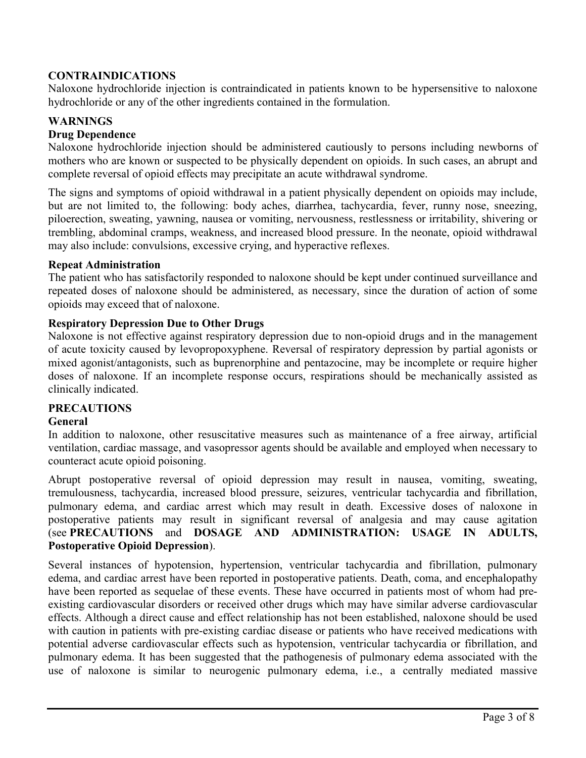# **CONTRAINDICATIONS**

Naloxone hydrochloride injection is contraindicated in patients known to be hypersensitive to naloxone hydrochloride or any of the other ingredients contained in the formulation.

# **WARNINGS**

## **Drug Dependence**

Naloxone hydrochloride injection should be administered cautiously to persons including newborns of mothers who are known or suspected to be physically dependent on opioids. In such cases, an abrupt and complete reversal of opioid effects may precipitate an acute withdrawal syndrome.

The signs and symptoms of opioid withdrawal in a patient physically dependent on opioids may include, but are not limited to, the following: body aches, diarrhea, tachycardia, fever, runny nose, sneezing, piloerection, sweating, yawning, nausea or vomiting, nervousness, restlessness or irritability, shivering or trembling, abdominal cramps, weakness, and increased blood pressure. In the neonate, opioid withdrawal may also include: convulsions, excessive crying, and hyperactive reflexes.

#### **Repeat Administration**

The patient who has satisfactorily responded to naloxone should be kept under continued surveillance and repeated doses of naloxone should be administered, as necessary, since the duration of action of some opioids may exceed that of naloxone.

#### **Respiratory Depression Due to Other Drugs**

Naloxone is not effective against respiratory depression due to non-opioid drugs and in the management of acute toxicity caused by levopropoxyphene. Reversal of respiratory depression by partial agonists or mixed agonist/antagonists, such as buprenorphine and pentazocine, may be incomplete or require higher doses of naloxone. If an incomplete response occurs, respirations should be mechanically assisted as clinically indicated.

# **PRECAUTIONS**

#### **General**

In addition to naloxone, other resuscitative measures such as maintenance of a free airway, artificial ventilation, cardiac massage, and vasopressor agents should be available and employed when necessary to counteract acute opioid poisoning.

Abrupt postoperative reversal of opioid depression may result in nausea, vomiting, sweating, tremulousness, tachycardia, increased blood pressure, seizures, ventricular tachycardia and fibrillation, pulmonary edema, and cardiac arrest which may result in death. Excessive doses of naloxone in postoperative patients may result in significant reversal of analgesia and may cause agitation (see **PRECAUTIONS** and **DOSAGE AND ADMINISTRATION: USAGE IN ADULTS, Postoperative Opioid Depression**).

Several instances of hypotension, hypertension, ventricular tachycardia and fibrillation, pulmonary edema, and cardiac arrest have been reported in postoperative patients. Death, coma, and encephalopathy have been reported as sequelae of these events. These have occurred in patients most of whom had preexisting cardiovascular disorders or received other drugs which may have similar adverse cardiovascular effects. Although a direct cause and effect relationship has not been established, naloxone should be used with caution in patients with pre-existing cardiac disease or patients who have received medications with potential adverse cardiovascular effects such as hypotension, ventricular tachycardia or fibrillation, and pulmonary edema. It has been suggested that the pathogenesis of pulmonary edema associated with the use of naloxone is similar to neurogenic pulmonary edema, i.e., a centrally mediated massive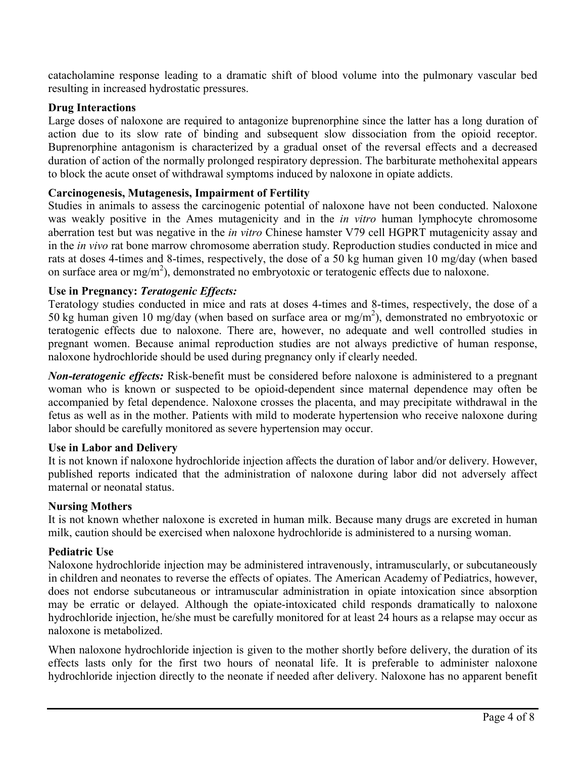catacholamine response leading to a dramatic shift of blood volume into the pulmonary vascular bed resulting in increased hydrostatic pressures.

# **Drug Interactions**

Large doses of naloxone are required to antagonize buprenorphine since the latter has a long duration of action due to its slow rate of binding and subsequent slow dissociation from the opioid receptor. Buprenorphine antagonism is characterized by a gradual onset of the reversal effects and a decreased duration of action of the normally prolonged respiratory depression. The barbiturate methohexital appears to block the acute onset of withdrawal symptoms induced by naloxone in opiate addicts.

# **Carcinogenesis, Mutagenesis, Impairment of Fertility**

Studies in animals to assess the carcinogenic potential of naloxone have not been conducted. Naloxone was weakly positive in the Ames mutagenicity and in the *in vitro* human lymphocyte chromosome aberration test but was negative in the *in vitro* Chinese hamster V79 cell HGPRT mutagenicity assay and in the *in vivo* rat bone marrow chromosome aberration study. Reproduction studies conducted in mice and rats at doses 4-times and 8-times, respectively, the dose of a 50 kg human given 10 mg/day (when based on surface area or mg/m<sup>2</sup>), demonstrated no embryotoxic or teratogenic effects due to naloxone.

# **Use in Pregnancy:** *Teratogenic Effects:*

Teratology studies conducted in mice and rats at doses 4-times and 8-times, respectively, the dose of a 50 kg human given 10 mg/day (when based on surface area or mg/m<sup>2</sup>), demonstrated no embryotoxic or teratogenic effects due to naloxone. There are, however, no adequate and well controlled studies in pregnant women. Because animal reproduction studies are not always predictive of human response, naloxone hydrochloride should be used during pregnancy only if clearly needed.

*Non-teratogenic effects:* Risk-benefit must be considered before naloxone is administered to a pregnant woman who is known or suspected to be opioid-dependent since maternal dependence may often be accompanied by fetal dependence. Naloxone crosses the placenta, and may precipitate withdrawal in the fetus as well as in the mother. Patients with mild to moderate hypertension who receive naloxone during labor should be carefully monitored as severe hypertension may occur.

# **Use in Labor and Delivery**

It is not known if naloxone hydrochloride injection affects the duration of labor and/or delivery. However, published reports indicated that the administration of naloxone during labor did not adversely affect maternal or neonatal status.

# **Nursing Mothers**

It is not known whether naloxone is excreted in human milk. Because many drugs are excreted in human milk, caution should be exercised when naloxone hydrochloride is administered to a nursing woman.

# **Pediatric Use**

Naloxone hydrochloride injection may be administered intravenously, intramuscularly, or subcutaneously in children and neonates to reverse the effects of opiates. The American Academy of Pediatrics, however, does not endorse subcutaneous or intramuscular administration in opiate intoxication since absorption may be erratic or delayed. Although the opiate-intoxicated child responds dramatically to naloxone hydrochloride injection, he/she must be carefully monitored for at least 24 hours as a relapse may occur as naloxone is metabolized.

When naloxone hydrochloride injection is given to the mother shortly before delivery, the duration of its effects lasts only for the first two hours of neonatal life. It is preferable to administer naloxone hydrochloride injection directly to the neonate if needed after delivery. Naloxone has no apparent benefit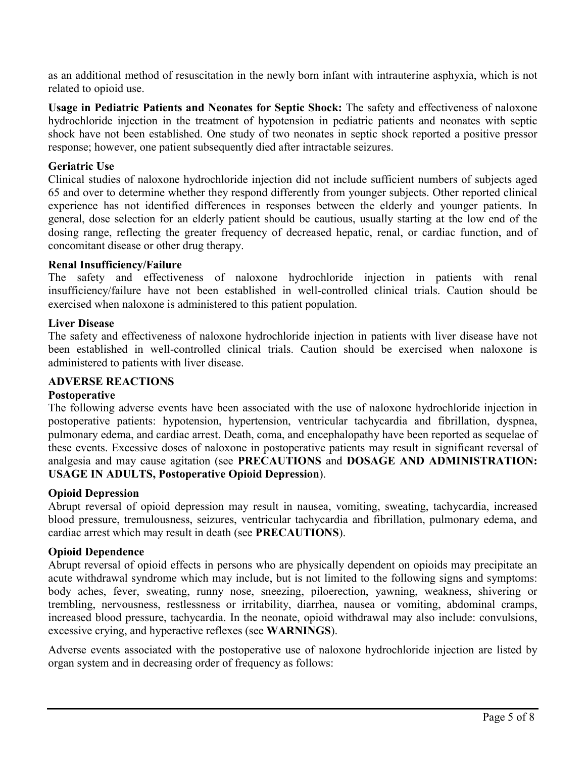as an additional method of resuscitation in the newly born infant with intrauterine asphyxia, which is not related to opioid use.

**Usage in Pediatric Patients and Neonates for Septic Shock:** The safety and effectiveness of naloxone hydrochloride injection in the treatment of hypotension in pediatric patients and neonates with septic shock have not been established. One study of two neonates in septic shock reported a positive pressor response; however, one patient subsequently died after intractable seizures.

# **Geriatric Use**

Clinical studies of naloxone hydrochloride injection did not include sufficient numbers of subjects aged 65 and over to determine whether they respond differently from younger subjects. Other reported clinical experience has not identified differences in responses between the elderly and younger patients. In general, dose selection for an elderly patient should be cautious, usually starting at the low end of the dosing range, reflecting the greater frequency of decreased hepatic, renal, or cardiac function, and of concomitant disease or other drug therapy.

#### **Renal Insufficiency/Failure**

The safety and effectiveness of naloxone hydrochloride injection in patients with renal insufficiency/failure have not been established in well-controlled clinical trials. Caution should be exercised when naloxone is administered to this patient population.

#### **Liver Disease**

The safety and effectiveness of naloxone hydrochloride injection in patients with liver disease have not been established in well-controlled clinical trials. Caution should be exercised when naloxone is administered to patients with liver disease.

## **ADVERSE REACTIONS**

# **Postoperative**

The following adverse events have been associated with the use of naloxone hydrochloride injection in postoperative patients: hypotension, hypertension, ventricular tachycardia and fibrillation, dyspnea, pulmonary edema, and cardiac arrest. Death, coma, and encephalopathy have been reported as sequelae of these events. Excessive doses of naloxone in postoperative patients may result in significant reversal of analgesia and may cause agitation (see **PRECAUTIONS** and **DOSAGE AND ADMINISTRATION: USAGE IN ADULTS, Postoperative Opioid Depression**).

# **Opioid Depression**

Abrupt reversal of opioid depression may result in nausea, vomiting, sweating, tachycardia, increased blood pressure, tremulousness, seizures, ventricular tachycardia and fibrillation, pulmonary edema, and cardiac arrest which may result in death (see **PRECAUTIONS**).

#### **Opioid Dependence**

Abrupt reversal of opioid effects in persons who are physically dependent on opioids may precipitate an acute withdrawal syndrome which may include, but is not limited to the following signs and symptoms: body aches, fever, sweating, runny nose, sneezing, piloerection, yawning, weakness, shivering or trembling, nervousness, restlessness or irritability, diarrhea, nausea or vomiting, abdominal cramps, increased blood pressure, tachycardia. In the neonate, opioid withdrawal may also include: convulsions, excessive crying, and hyperactive reflexes (see **WARNINGS**).

Adverse events associated with the postoperative use of naloxone hydrochloride injection are listed by organ system and in decreasing order of frequency as follows: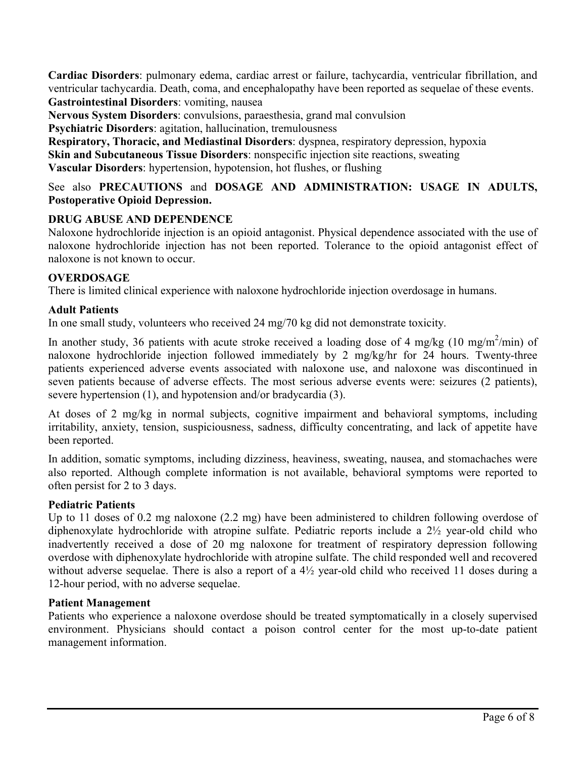**Cardiac Disorders**: pulmonary edema, cardiac arrest or failure, tachycardia, ventricular fibrillation, and ventricular tachycardia. Death, coma, and encephalopathy have been reported as sequelae of these events. **Gastrointestinal Disorders**: vomiting, nausea

**Nervous System Disorders**: convulsions, paraesthesia, grand mal convulsion

**Psychiatric Disorders**: agitation, hallucination, tremulousness

**Respiratory, Thoracic, and Mediastinal Disorders**: dyspnea, respiratory depression, hypoxia **Skin and Subcutaneous Tissue Disorders**: nonspecific injection site reactions, sweating **Vascular Disorders**: hypertension, hypotension, hot flushes, or flushing

See also **PRECAUTIONS** and **DOSAGE AND ADMINISTRATION: USAGE IN ADULTS, Postoperative Opioid Depression.**

# **DRUG ABUSE AND DEPENDENCE**

Naloxone hydrochloride injection is an opioid antagonist. Physical dependence associated with the use of naloxone hydrochloride injection has not been reported. Tolerance to the opioid antagonist effect of naloxone is not known to occur.

# **OVERDOSAGE**

There is limited clinical experience with naloxone hydrochloride injection overdosage in humans.

# **Adult Patients**

In one small study, volunteers who received 24 mg/70 kg did not demonstrate toxicity.

In another study, 36 patients with acute stroke received a loading dose of 4 mg/kg (10 mg/m<sup>2</sup>/min) of naloxone hydrochloride injection followed immediately by 2 mg/kg/hr for 24 hours. Twenty-three patients experienced adverse events associated with naloxone use, and naloxone was discontinued in seven patients because of adverse effects. The most serious adverse events were: seizures (2 patients), severe hypertension (1), and hypotension and/or bradycardia (3).

At doses of 2 mg/kg in normal subjects, cognitive impairment and behavioral symptoms, including irritability, anxiety, tension, suspiciousness, sadness, difficulty concentrating, and lack of appetite have been reported.

In addition, somatic symptoms, including dizziness, heaviness, sweating, nausea, and stomachaches were also reported. Although complete information is not available, behavioral symptoms were reported to often persist for 2 to 3 days.

# **Pediatric Patients**

Up to 11 doses of 0.2 mg naloxone (2.2 mg) have been administered to children following overdose of diphenoxylate hydrochloride with atropine sulfate. Pediatric reports include a 2½ year-old child who inadvertently received a dose of 20 mg naloxone for treatment of respiratory depression following overdose with diphenoxylate hydrochloride with atropine sulfate. The child responded well and recovered without adverse sequelae. There is also a report of a 4½ year-old child who received 11 doses during a 12-hour period, with no adverse sequelae.

# **Patient Management**

Patients who experience a naloxone overdose should be treated symptomatically in a closely supervised environment. Physicians should contact a poison control center for the most up-to-date patient management information.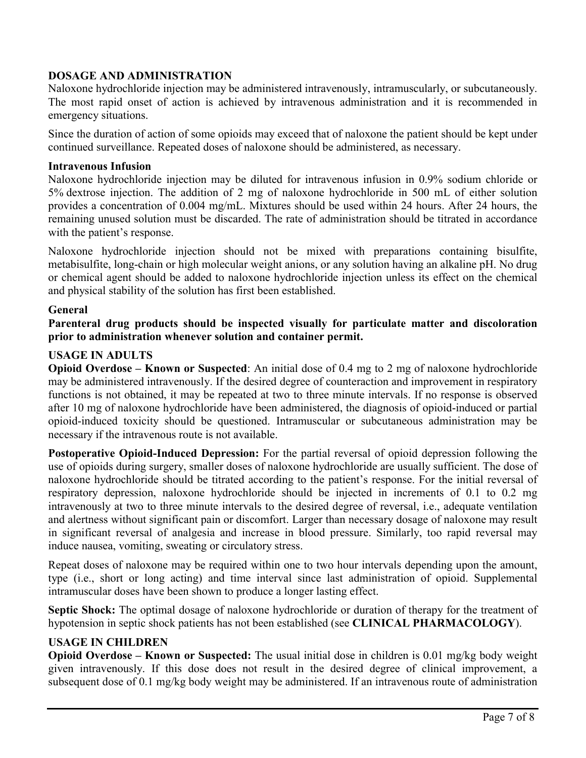# **DOSAGE AND ADMINISTRATION**

Naloxone hydrochloride injection may be administered intravenously, intramuscularly, or subcutaneously. The most rapid onset of action is achieved by intravenous administration and it is recommended in emergency situations.

Since the duration of action of some opioids may exceed that of naloxone the patient should be kept under continued surveillance. Repeated doses of naloxone should be administered, as necessary.

#### **Intravenous Infusion**

Naloxone hydrochloride injection may be diluted for intravenous infusion in 0.9% sodium chloride or 5% dextrose injection. The addition of 2 mg of naloxone hydrochloride in 500 mL of either solution provides a concentration of 0.004 mg/mL. Mixtures should be used within 24 hours. After 24 hours, the remaining unused solution must be discarded. The rate of administration should be titrated in accordance with the patient's response.

Naloxone hydrochloride injection should not be mixed with preparations containing bisulfite, metabisulfite, long-chain or high molecular weight anions, or any solution having an alkaline pH. No drug or chemical agent should be added to naloxone hydrochloride injection unless its effect on the chemical and physical stability of the solution has first been established.

#### **General**

**Parenteral drug products should be inspected visually for particulate matter and discoloration prior to administration whenever solution and container permit.**

#### **USAGE IN ADULTS**

**Opioid Overdose – Known or Suspected**: An initial dose of 0.4 mg to 2 mg of naloxone hydrochloride may be administered intravenously. If the desired degree of counteraction and improvement in respiratory functions is not obtained, it may be repeated at two to three minute intervals. If no response is observed after 10 mg of naloxone hydrochloride have been administered, the diagnosis of opioid-induced or partial opioid-induced toxicity should be questioned. Intramuscular or subcutaneous administration may be necessary if the intravenous route is not available.

**Postoperative Opioid-Induced Depression:** For the partial reversal of opioid depression following the use of opioids during surgery, smaller doses of naloxone hydrochloride are usually sufficient. The dose of naloxone hydrochloride should be titrated according to the patient's response. For the initial reversal of respiratory depression, naloxone hydrochloride should be injected in increments of 0.1 to 0.2 mg intravenously at two to three minute intervals to the desired degree of reversal, i.e., adequate ventilation and alertness without significant pain or discomfort. Larger than necessary dosage of naloxone may result in significant reversal of analgesia and increase in blood pressure. Similarly, too rapid reversal may induce nausea, vomiting, sweating or circulatory stress.

Repeat doses of naloxone may be required within one to two hour intervals depending upon the amount, type (i.e., short or long acting) and time interval since last administration of opioid. Supplemental intramuscular doses have been shown to produce a longer lasting effect.

**Septic Shock:** The optimal dosage of naloxone hydrochloride or duration of therapy for the treatment of hypotension in septic shock patients has not been established (see **CLINICAL PHARMACOLOGY**).

#### **USAGE IN CHILDREN**

**Opioid Overdose – Known or Suspected:** The usual initial dose in children is 0.01 mg/kg body weight given intravenously. If this dose does not result in the desired degree of clinical improvement, a subsequent dose of 0.1 mg/kg body weight may be administered. If an intravenous route of administration